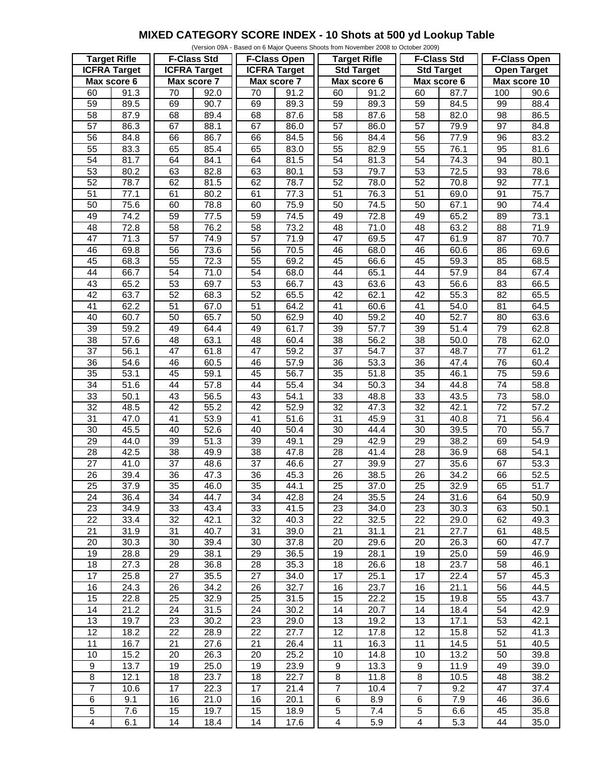## **MIXED CATEGORY SCORE INDEX - 10 Shots at 500 yd Lookup Table**

|                         |      |                     |                   |                     |                   | (Version 09A - Based on 6 Major Queens Shoots from November 2008 to October 2009) |                   |                         |                   |                     |      |
|-------------------------|------|---------------------|-------------------|---------------------|-------------------|-----------------------------------------------------------------------------------|-------------------|-------------------------|-------------------|---------------------|------|
| <b>Target Rifle</b>     |      | <b>F-Class Std</b>  |                   | <b>F-Class Open</b> |                   | <b>Target Rifle</b>                                                               |                   | <b>F-Class Std</b>      |                   | <b>F-Class Open</b> |      |
| <b>ICFRA Target</b>     |      | <b>ICFRA Target</b> |                   | <b>ICFRA Target</b> |                   | <b>Std Target</b>                                                                 |                   | <b>Std Target</b>       |                   | <b>Open Target</b>  |      |
| Max score 6             |      | Max score 7         |                   | Max score 7         |                   | Max score 6                                                                       |                   | Max score 6             |                   | Max score 10        |      |
| 60                      | 91.3 | 70                  | 92.0              | 70                  | 91.2              | 60                                                                                | 91.2              | 60                      | 87.7              | 100                 | 90.6 |
|                         |      |                     |                   |                     |                   |                                                                                   |                   |                         |                   |                     |      |
| 59                      | 89.5 | 69                  | 90.7              | 69                  | 89.3              | 59                                                                                | 89.3              | 59                      | 84.5              | 99                  | 88.4 |
| 58                      | 87.9 | 68                  | 89.4              | 68                  | 87.6              | 58                                                                                | 87.6              | 58                      | 82.0              | 98                  | 86.5 |
| 57                      | 86.3 | 67                  | 88.1              | 67                  | 86.0              | $\overline{57}$                                                                   | 86.0              | $\overline{57}$         | 79.9              | $\overline{97}$     | 84.8 |
| 56                      | 84.8 | 66                  | 86.7              | 66                  | 84.5              | 56                                                                                | 84.4              | 56                      | 77.9              | 96                  | 83.2 |
| 55                      | 83.3 | 65                  | 85.4              | 65                  | 83.0              | 55                                                                                | 82.9              | 55                      | 76.1              | 95                  | 81.6 |
| 54                      | 81.7 | 64                  | 84.1              | 64                  | 81.5              | 54                                                                                | 81.3              | 54                      | 74.3              | 94                  | 80.1 |
| 53                      | 80.2 | 63                  | 82.8              | 63                  | 80.1              | 53                                                                                | 79.7              | 53                      | 72.5              | 93                  | 78.6 |
| 52                      | 78.7 | 62                  | 81.5              | 62                  | 78.7              | $\overline{52}$                                                                   | 78.0              | 52                      | 70.8              | 92                  | 77.1 |
| $\overline{51}$         | 77.1 | 61                  | 80.2              | 61                  | 77.3              | $\overline{51}$                                                                   | 76.3              | 51                      | 69.0              | 91                  | 75.7 |
| 50                      | 75.6 | 60                  | 78.8              | 60                  | 75.9              | 50                                                                                | 74.5              | 50                      | 67.1              | 90                  | 74.4 |
| 49                      | 74.2 | $\overline{59}$     |                   | 59                  |                   | 49                                                                                |                   | 49                      |                   | 89                  |      |
|                         |      |                     | 77.5              |                     | 74.5              |                                                                                   | 72.8              |                         | 65.2              |                     | 73.1 |
| 48                      | 72.8 | 58                  | 76.2              | 58                  | 73.2              | 48                                                                                | 71.0              | 48                      | 63.2              | 88                  | 71.9 |
| $\overline{47}$         | 71.3 | $\overline{57}$     | 74.9              | $\overline{57}$     | 71.9              | $\overline{47}$                                                                   | 69.5              | $\overline{47}$         | 61.9              | 87                  | 70.7 |
| 46                      | 69.8 | $\overline{56}$     | 73.6              | 56                  | 70.5              | 46                                                                                | 68.0              | 46                      | 60.6              | 86                  | 69.6 |
| 45                      | 68.3 | 55                  | 72.3              | 55                  | 69.2              | 45                                                                                | 66.6              | 45                      | 59.3              | 85                  | 68.5 |
| 44                      | 66.7 | 54                  | 71.0              | 54                  | 68.0              | 44                                                                                | 65.1              | 44                      | $\overline{57.9}$ | 84                  | 67.4 |
| 43                      | 65.2 | 53                  | 69.7              | 53                  | 66.7              | 43                                                                                | 63.6              | 43                      | 56.6              | 83                  | 66.5 |
| $\overline{42}$         | 63.7 | 52                  | 68.3              | $\overline{52}$     | 65.5              | 42                                                                                | 62.1              | $\overline{42}$         | 55.3              | 82                  | 65.5 |
| 41                      | 62.2 | $\overline{51}$     | 67.0              | 51                  | 64.2              | 41                                                                                | 60.6              | 41                      | 54.0              | 81                  | 64.5 |
| 40                      | 60.7 | 50                  | 65.7              | 50                  | 62.9              | 40                                                                                | 59.2              | 40                      | 52.7              | 80                  | 63.6 |
| 39                      | 59.2 | 49                  | 64.4              | 49                  | 61.7              | 39                                                                                | $\overline{57.7}$ | 39                      | 51.4              | 79                  | 62.8 |
| 38                      | 57.6 | 48                  | 63.1              |                     |                   | 38                                                                                |                   | 38                      |                   |                     | 62.0 |
|                         |      |                     |                   | 48                  | 60.4              |                                                                                   | 56.2              |                         | 50.0              | 78                  |      |
| $\overline{37}$         | 56.1 | $\overline{47}$     | 61.8              | $\overline{47}$     | 59.2              | 37                                                                                | 54.7              | $\overline{37}$         | 48.7              | $\overline{77}$     | 61.2 |
| 36                      | 54.6 | 46                  | 60.5              | 46                  | 57.9              | 36                                                                                | 53.3              | 36                      | 47.4              | 76                  | 60.4 |
| 35                      | 53.1 | 45                  | 59.1              | 45                  | $\overline{56.7}$ | 35                                                                                | 51.8              | 35                      | 46.1              | 75                  | 59.6 |
| 34                      | 51.6 | 44                  | $\frac{1}{57.8}$  | 44                  | 55.4              | 34                                                                                | 50.3              | 34                      | 44.8              | 74                  | 58.8 |
| 33                      | 50.1 | 43                  | 56.5              | 43                  | 54.1              | 33                                                                                | 48.8              | 33                      | 43.5              | 73                  | 58.0 |
| $\overline{32}$         | 48.5 | 42                  | 55.2              | 42                  | 52.9              | $\overline{32}$                                                                   | 47.3              | 32                      | 42.1              | $\overline{72}$     | 57.2 |
| 31                      | 47.0 | $\overline{41}$     | 53.9              | 41                  | 51.6              | 31                                                                                | 45.9              | 31                      | 40.8              | 71                  | 56.4 |
| 30                      | 45.5 | 40                  | $\overline{52.6}$ | 40                  | 50.4              | 30                                                                                | 44.4              | 30                      | 39.5              | 70                  | 55.7 |
| $\overline{29}$         | 44.0 | $\overline{39}$     | 51.3              | $\overline{39}$     | 49.1              | $\overline{29}$                                                                   | 42.9              | $\overline{29}$         | 38.2              | 69                  | 54.9 |
| 28                      | 42.5 | 38                  | 49.9              | 38                  | 47.8              | 28                                                                                | 41.4              | 28                      | 36.9              | 68                  | 54.1 |
| $\overline{27}$         | 41.0 | $\overline{37}$     | 48.6              | $\overline{37}$     | 46.6              | $\overline{27}$                                                                   | 39.9              | $\overline{27}$         | 35.6              | 67                  | 53.3 |
|                         |      |                     |                   |                     |                   |                                                                                   |                   |                         |                   |                     |      |
| $\overline{26}$         | 39.4 | $\overline{36}$     | $\overline{47.3}$ | $\overline{36}$     | 45.3              | $\overline{26}$                                                                   | 38.5              | $\overline{26}$         | 34.2              | 66                  | 52.5 |
| $\overline{25}$         | 37.9 | $\overline{35}$     | 46.0              | $\overline{35}$     | 44.1              | $\overline{25}$                                                                   | 37.0              | $\overline{25}$         | 32.9              | 65                  | 51.7 |
| 24                      | 36.4 | 34                  | 44.7              | 34                  | 42.8              | 24                                                                                | 35.5              | 24                      | 31.6              | 64                  | 50.9 |
| 23                      | 34.9 | 33                  | 43.4              | 33                  | 41.5              | 23                                                                                | 34.0              | 23                      | 30.3              | 63                  | 50.1 |
| 22                      | 33.4 | 32                  | 42.1              | 32                  | 40.3              | 22                                                                                | 32.5              | 22                      | 29.0              | 62                  | 49.3 |
| 21                      | 31.9 | 31                  | $\overline{40.7}$ | 31                  | 39.0              | 21                                                                                | 31.1              | 21                      | 27.7              | 61                  | 48.5 |
| 20                      | 30.3 | 30                  | 39.4              | 30                  | 37.8              | 20                                                                                | 29.6              | 20                      | 26.3              | 60                  | 47.7 |
| 19                      | 28.8 | 29                  | 38.1              | 29                  | 36.5              | 19                                                                                | 28.1              | 19                      | 25.0              | 59                  | 46.9 |
| 18                      | 27.3 | 28                  | 36.8              | 28                  | 35.3              | 18                                                                                | 26.6              | 18                      | 23.7              | 58                  | 46.1 |
| $\overline{17}$         | 25.8 | 27                  | 35.5              | 27                  | 34.0              | 17                                                                                | 25.1              | 17                      | 22.4              | 57                  | 45.3 |
| 16                      | 24.3 | 26                  | 34.2              | 26                  | 32.7              | 16                                                                                | 23.7              | 16                      | 21.1              | 56                  | 44.5 |
| 15                      | 22.8 | 25                  | 32.9              | 25                  | 31.5              | 15                                                                                | 22.2              | 15                      | 19.8              | 55                  | 43.7 |
|                         |      |                     |                   |                     |                   |                                                                                   |                   |                         |                   |                     |      |
| 14                      | 21.2 | 24                  | 31.5              | 24                  | 30.2              | 14                                                                                | 20.7              | 14                      | 18.4              | 54                  | 42.9 |
| 13                      | 19.7 | 23                  | 30.2              | 23                  | 29.0              | 13                                                                                | 19.2              | 13                      | 17.1              | 53                  | 42.1 |
| $\overline{12}$         | 18.2 | $\overline{22}$     | 28.9              | 22                  | 27.7              | 12                                                                                | 17.8              | 12                      | 15.8              | 52                  | 41.3 |
| 11                      | 16.7 | 21                  | 27.6              | 21                  | 26.4              | 11                                                                                | 16.3              | 11                      | 14.5              | 51                  | 40.5 |
| 10                      | 15.2 | 20                  | 26.3              | 20                  | 25.2              | 10                                                                                | 14.8              | 10                      | 13.2              | 50                  | 39.8 |
| $\boldsymbol{9}$        | 13.7 | 19                  | 25.0              | 19                  | 23.9              | 9                                                                                 | 13.3              | 9                       | 11.9              | 49                  | 39.0 |
| 8                       | 12.1 | 18                  | 23.7              | 18                  | 22.7              | 8                                                                                 | 11.8              | 8                       | 10.5              | 48                  | 38.2 |
| $\overline{7}$          | 10.6 | 17                  | 22.3              | 17                  | 21.4              | $\overline{7}$                                                                    | 10.4              | $\overline{7}$          | 9.2               | 47                  | 37.4 |
| $\,6$                   | 9.1  | 16                  | 21.0              | 16                  | 20.1              | $\,6$                                                                             | 8.9               | 6                       | 7.9               | 46                  | 36.6 |
| 5                       | 7.6  | 15                  | 19.7              | 15                  | 18.9              | $\,$ 5 $\,$                                                                       | 7.4               | 5                       | 6.6               | 45                  | 35.8 |
| $\overline{\mathbf{4}}$ | 6.1  | 14                  | 18.4              | 14                  | 17.6              | 4                                                                                 | 5.9               | $\overline{\mathbf{4}}$ | 5.3               | 44                  | 35.0 |
|                         |      |                     |                   |                     |                   |                                                                                   |                   |                         |                   |                     |      |